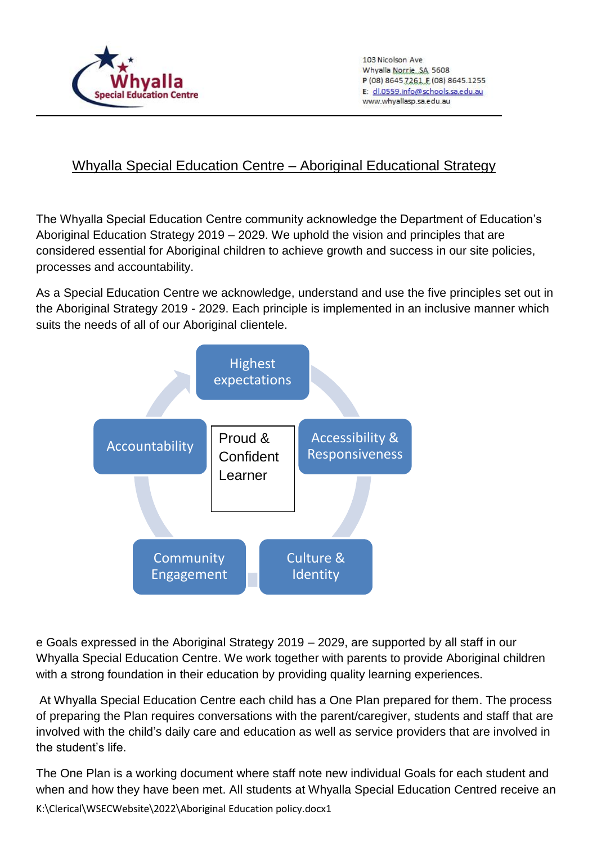

 $\overline{a}$ 

103 Nicolson Ave Whyalla Norrie, SA 5608 P (08) 8645 7261 E (08) 8645.1255 E: dl.0559.info@schools.sa.edu.au www.whyallasp.sa.edu.au

## Whyalla Special Education Centre – Aboriginal Educational Strategy

The Whyalla Special Education Centre community acknowledge the Department of Education's Aboriginal Education Strategy 2019 – 2029. We uphold the vision and principles that are considered essential for Aboriginal children to achieve growth and success in our site policies, processes and accountability.

As a Special Education Centre we acknowledge, understand and use the five principles set out in the Aboriginal Strategy 2019 - 2029. Each principle is implemented in an inclusive manner which suits the needs of all of our Aboriginal clientele.



e Goals expressed in the Aboriginal Strategy 2019 – 2029, are supported by all staff in our Whyalla Special Education Centre. We work together with parents to provide Aboriginal children with a strong foundation in their education by providing quality learning experiences.

At Whyalla Special Education Centre each child has a One Plan prepared for them. The process of preparing the Plan requires conversations with the parent/caregiver, students and staff that are involved with the child's daily care and education as well as service providers that are involved in the student's life.

K:\Clerical\WSECWebsite\2022\Aboriginal Education policy.docx1 The One Plan is a working document where staff note new individual Goals for each student and when and how they have been met. All students at Whyalla Special Education Centred receive an